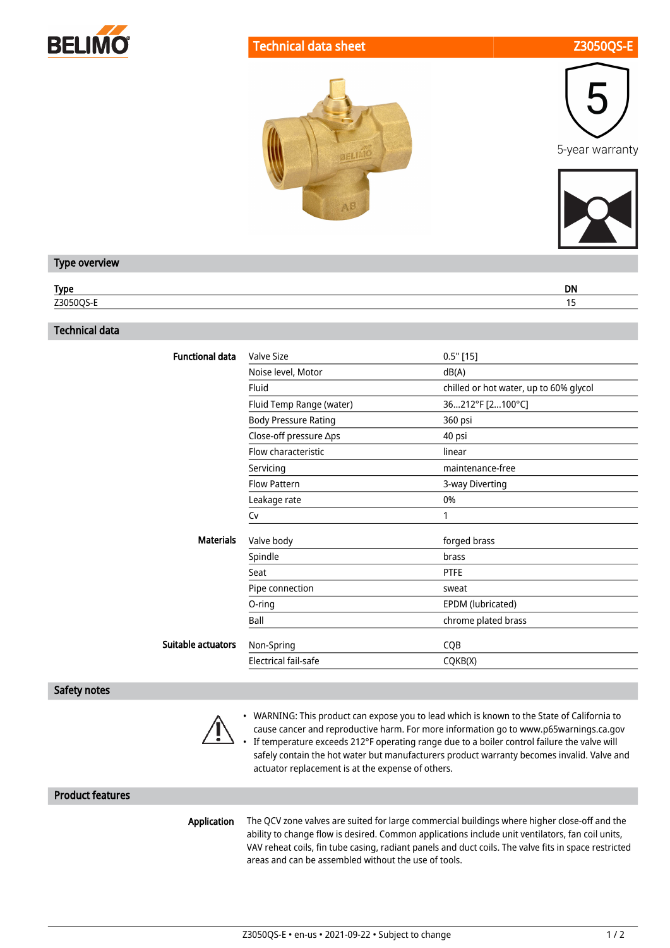

#### Technical data sheet **Z3050QS**







#### Type overview

| Typ. | <b>DN</b> |
|------|-----------|
| 720  |           |

## Technical data

| Noise level, Motor | dB(A)                                                                                                                                                                                                                               |
|--------------------|-------------------------------------------------------------------------------------------------------------------------------------------------------------------------------------------------------------------------------------|
|                    |                                                                                                                                                                                                                                     |
|                    | chilled or hot water, up to 60% glycol                                                                                                                                                                                              |
|                    | 36212°F [2100°C]                                                                                                                                                                                                                    |
|                    | 360 psi                                                                                                                                                                                                                             |
|                    | 40 psi                                                                                                                                                                                                                              |
|                    | linear                                                                                                                                                                                                                              |
|                    | maintenance-free                                                                                                                                                                                                                    |
|                    | 3-way Diverting                                                                                                                                                                                                                     |
|                    | 0%                                                                                                                                                                                                                                  |
|                    | 1                                                                                                                                                                                                                                   |
|                    | forged brass                                                                                                                                                                                                                        |
|                    | brass                                                                                                                                                                                                                               |
|                    | <b>PTFE</b>                                                                                                                                                                                                                         |
|                    | sweat                                                                                                                                                                                                                               |
|                    | EPDM (lubricated)                                                                                                                                                                                                                   |
|                    | chrome plated brass                                                                                                                                                                                                                 |
|                    | CQB                                                                                                                                                                                                                                 |
|                    | CQKB(X)                                                                                                                                                                                                                             |
|                    | Fluid Temp Range (water)<br><b>Body Pressure Rating</b><br>Close-off pressure ∆ps<br>Flow characteristic<br>Servicing<br><b>Flow Pattern</b><br>Leakage rate<br>Valve body<br>Pipe connection<br>Non-Spring<br>Electrical fail-safe |

#### Safety notes



• WARNING: This product can expose you to lead which is known to the State of California to cause cancer and reproductive harm. For more information go to www.p65warnings.ca.gov If temperature exceeds 212°F operating range due to a boiler control failure the valve will

• safely contain the hot water but manufacturers product warranty becomes invalid. Valve and actuator replacement is at the expense of others.

#### Product features

Application The QCV zone valves are suited for large commercial buildings where higher close-off and the ability to change flow is desired. Common applications include unit ventilators, fan coil units, VAV reheat coils, fin tube casing, radiant panels and duct coils. The valve fits in space restricted areas and can be assembled without the use of tools.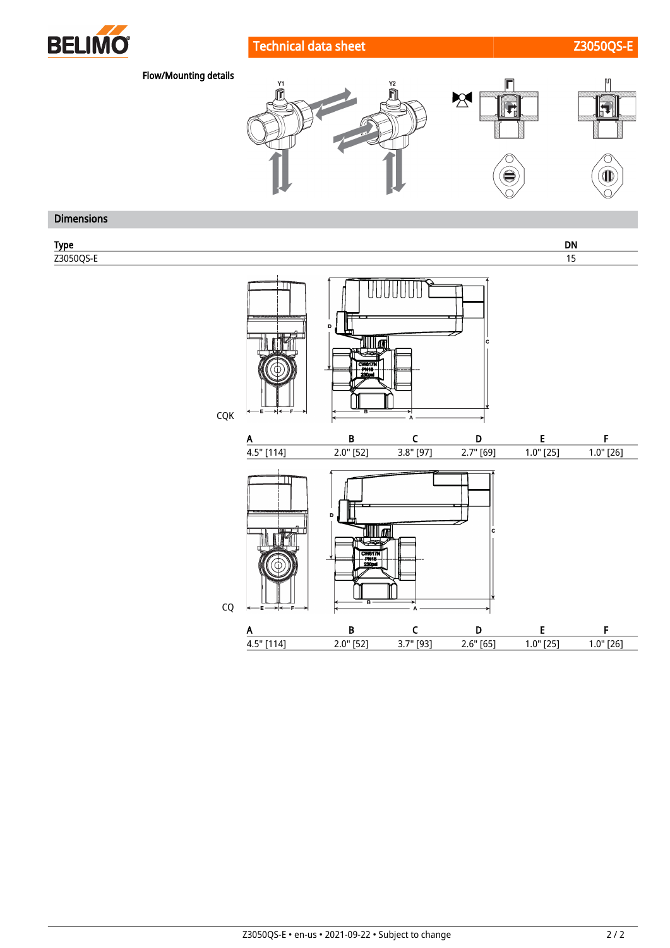

# Technical data sheet Z3050QS-E



Flow/Mounting details



## Dimensions

Type DN Z3050QS-E 15 HHHHHH <u>tilli on</u> CQK A B C D E F 4.5" [114] 2.0" [52] 3.8" [97] 2.7" [69] 1.0" [25] 1.0" [26] <u>UMI 11 and</u> CQ A B C D E F 4.5" [114] 2.0" [52] 3.7" [93] 2.6" [65] 1.0" [25] 1.0" [26]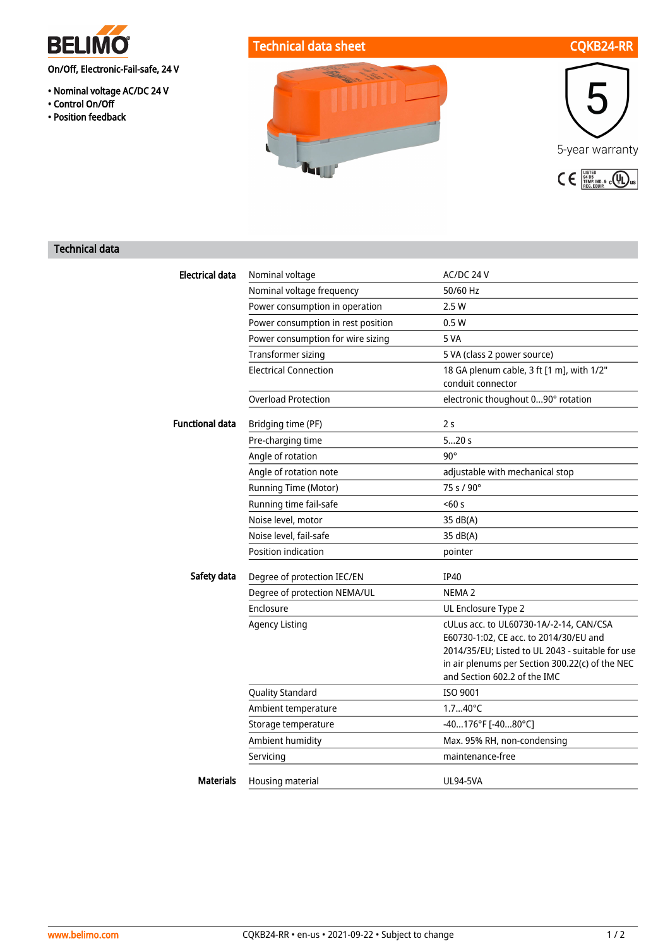

- Nominal voltage AC/DC 24 V
- Control On/Off
- Position feedback





#### Technical data

| <b>Electrical data</b> | Nominal voltage                    | AC/DC 24 V                                                                                                                                                                                                               |
|------------------------|------------------------------------|--------------------------------------------------------------------------------------------------------------------------------------------------------------------------------------------------------------------------|
|                        | Nominal voltage frequency          | 50/60 Hz                                                                                                                                                                                                                 |
|                        | Power consumption in operation     | 2.5 W                                                                                                                                                                                                                    |
|                        | Power consumption in rest position | 0.5W                                                                                                                                                                                                                     |
|                        | Power consumption for wire sizing  | 5 VA                                                                                                                                                                                                                     |
|                        | <b>Transformer sizing</b>          | 5 VA (class 2 power source)                                                                                                                                                                                              |
|                        | <b>Electrical Connection</b>       | 18 GA plenum cable, 3 ft [1 m], with 1/2"<br>conduit connector                                                                                                                                                           |
|                        | <b>Overload Protection</b>         | electronic thoughout 090° rotation                                                                                                                                                                                       |
| <b>Functional data</b> | Bridging time (PF)                 | 2s                                                                                                                                                                                                                       |
|                        | Pre-charging time                  | 520s                                                                                                                                                                                                                     |
|                        | Angle of rotation                  | $90^\circ$                                                                                                                                                                                                               |
|                        | Angle of rotation note             | adjustable with mechanical stop                                                                                                                                                                                          |
|                        | Running Time (Motor)               | 75 s / 90°                                                                                                                                                                                                               |
|                        | Running time fail-safe             | 50s                                                                                                                                                                                                                      |
|                        | Noise level, motor                 | 35 dB(A)                                                                                                                                                                                                                 |
|                        | Noise level, fail-safe             | 35 dB(A)                                                                                                                                                                                                                 |
|                        | Position indication                | pointer                                                                                                                                                                                                                  |
| Safety data            | Degree of protection IEC/EN        | <b>IP40</b>                                                                                                                                                                                                              |
|                        | Degree of protection NEMA/UL       | NEMA <sub>2</sub>                                                                                                                                                                                                        |
|                        | Enclosure                          | UL Enclosure Type 2                                                                                                                                                                                                      |
|                        | <b>Agency Listing</b>              | cULus acc. to UL60730-1A/-2-14, CAN/CSA<br>E60730-1:02, CE acc. to 2014/30/EU and<br>2014/35/EU; Listed to UL 2043 - suitable for use<br>in air plenums per Section 300.22(c) of the NEC<br>and Section 602.2 of the IMC |
|                        | Quality Standard                   | ISO 9001                                                                                                                                                                                                                 |
|                        | Ambient temperature                | $1.740^{\circ}C$                                                                                                                                                                                                         |
|                        | Storage temperature                | -40176°F [-4080°C]                                                                                                                                                                                                       |
|                        | Ambient humidity                   | Max. 95% RH, non-condensing                                                                                                                                                                                              |
|                        | Servicing                          | maintenance-free                                                                                                                                                                                                         |
| <b>Materials</b>       | Housing material                   | <b>UL94-5VA</b>                                                                                                                                                                                                          |